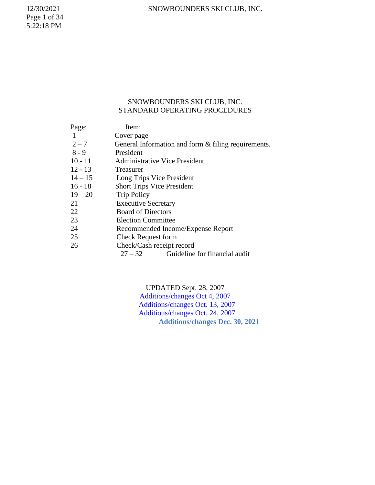# SNOWBOUNDERS SKI CLUB, INC. STANDARD OPERATING PROCEDURES

| Page:     | Item:                                               |
|-----------|-----------------------------------------------------|
| 1         | Cover page                                          |
| $2 - 7$   | General Information and form & filing requirements. |
| $8 - 9$   | President                                           |
| $10 - 11$ | <b>Administrative Vice President</b>                |
| $12 - 13$ | Treasurer                                           |
| $14 - 15$ | Long Trips Vice President                           |
| $16 - 18$ | <b>Short Trips Vice President</b>                   |
| $19 - 20$ | <b>Trip Policy</b>                                  |
| 21        | <b>Executive Secretary</b>                          |
| 22        | <b>Board of Directors</b>                           |
| 23        | <b>Election Committee</b>                           |
| 24        | Recommended Income/Expense Report                   |
| 25        | <b>Check Request form</b>                           |
| 26        | Check/Cash receipt record                           |
|           | Guideline for financial audit<br>$27 - 32$          |

UPDATED Sept. 28, 2007 Additions/changes Oct 4, 2007 Additions/changes Oct. 13, 2007 Additions/changes Oct. 24, 2007 **Additions/changes Dec. 30, 2021**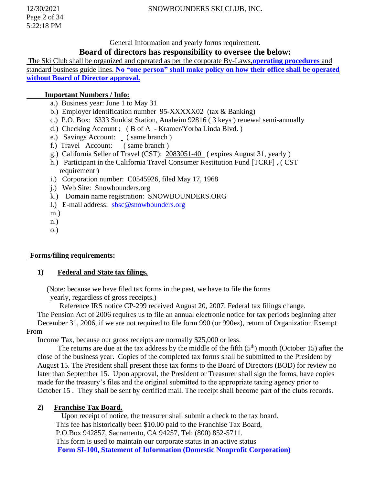### General Information and yearly forms requirement. **Board of directors has responsibility to oversee the below:**

The Ski Club shall be organized and operated as per the corporate By-Laws,**operating procedures** and standard business guide lines. **No "one person" shall make policy on how their office shall be operated without Board of Director approval.** 

# **Important Numbers / Info:**

- a.) Business year: June 1 to May 31
- b.) Employer identification number  $95-XXXXX02$  (tax & Banking)
- c.) P.O. Box: 6333 Sunkist Station, Anaheim 92816 ( 3 keys ) renewal semi-annually
- d.) Checking Account ; ( B of A Kramer/Yorba Linda Blvd. )
- e.) Savings Account: ( same branch )
- f.) Travel Account: ( same branch )
- g.) California Seller of Travel (CST): 2083051-40 ( expires August 31, yearly )
- h.) Participant in the California Travel Consumer Restitution Fund [TCRF] , ( CST requirement )
- i.) Corporation number: C0545926, filed May 17, 1968
- j.) Web Site: Snowbounders.org
- k.) Domain name registration: SNOWBOUNDERS.ORG
- l.) E-mail address: [sbsc@snowbounders.org](mailto:sbsc@snowbounders.org)
- m.)
- n.)
- o.)

# **Forms/filing requirements:**

# **1) Federal and State tax filings.**

 (Note: because we have filed tax forms in the past, we have to file the forms yearly, regardless of gross receipts.)

Reference IRS notice CP-299 received August 20, 2007. Federal tax filings change.

 The Pension Act of 2006 requires us to file an annual electronic notice for tax periods beginning after December 31, 2006, if we are not required to file form 990 (or 990ez), return of Organization Exempt

### From

Income Tax, because our gross receipts are normally \$25,000 or less.

The returns are due at the tax address by the middle of the fifth  $(5<sup>th</sup>)$  month (October 15) after the close of the business year. Copies of the completed tax forms shall be submitted to the President by August 15. The President shall present these tax forms to the Board of Directors (BOD) for review no later than September 15. Upon approval, the President or Treasurer shall sign the forms, have copies made for the treasury's files and the original submitted to the appropriate taxing agency prior to October 15 . They shall be sent by certified mail. The receipt shall become part of the clubs records.

# **2) Franchise Tax Board.**

 Upon receipt of notice, the treasurer shall submit a check to the tax board. This fee has historically been \$10.00 paid to the Franchise Tax Board, P.O.Box 942857, Sacramento, CA 94257, Tel: (800) 852-5711. This form is used to maintain our corporate status in an active status **Form SI-100, Statement of Information (Domestic Nonprofit Corporation)**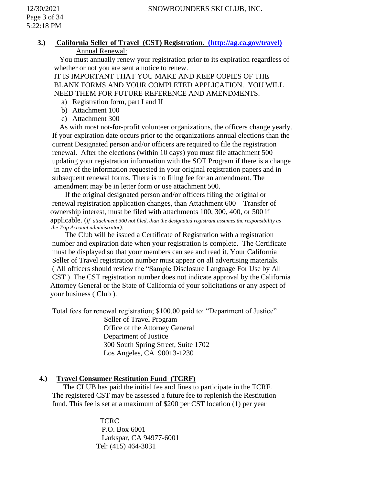### **3.) California Seller of Travel (CST) Registration. (http://ag.ca.gov/travel)** Annual Renewal:

 You must annually renew your registration prior to its expiration regardless of whether or not you are sent a notice to renew.

 IT IS IMPORTANT THAT YOU MAKE AND KEEP COPIES OF THE BLANK FORMS AND YOUR COMPLETED APPLICATION. YOU WILL NEED THEM FOR FUTURE REFERENCE AND AMENDMENTS.

- a) Registration form, part I and II
- b) Attachment 100
- c) Attachment 300

 As with most not-for-profit volunteer organizations, the officers change yearly. If your expiration date occurs prior to the organizations annual elections than the current Designated person and/or officers are required to file the registration renewal. After the elections (within 10 days) you must file attachment 500 updating your registration information with the SOT Program if there is a change in any of the information requested in your original registration papers and in subsequent renewal forms. There is no filing fee for an amendment. The amendment may be in letter form or use attachment 500.

 If the original designated person and/or officers filing the original or renewal registration application changes, than Attachment 600 – Transfer of ownership interest, must be filed with attachments 100, 300, 400, or 500 if applicable. (*If attachment 300 not filed, than the designated registrant assumes the responsibility as the Trip Account administrator).*

 The Club will be issued a Certificate of Registration with a registration number and expiration date when your registration is complete. The Certificate must be displayed so that your members can see and read it. Your California Seller of Travel registration number must appear on all advertising materials. ( All officers should review the "Sample Disclosure Language For Use by All CST ) The CST registration number does not indicate approval by the California Attorney General or the State of California of your solicitations or any aspect of your business ( Club ).

Total fees for renewal registration; \$100.00 paid to: "Department of Justice"

 Seller of Travel Program Office of the Attorney General Department of Justice 300 South Spring Street, Suite 1702 Los Angeles, CA 90013-1230

# **4.) Travel Consumer Restitution Fund (TCRF)**

 The CLUB has paid the initial fee and fines to participate in the TCRF. The registered CST may be assessed a future fee to replenish the Restitution fund. This fee is set at a maximum of \$200 per CST location (1) per year

# TCRC

 P.O. Box 6001 Larkspar, CA 94977-6001 Tel: (415) 464-3031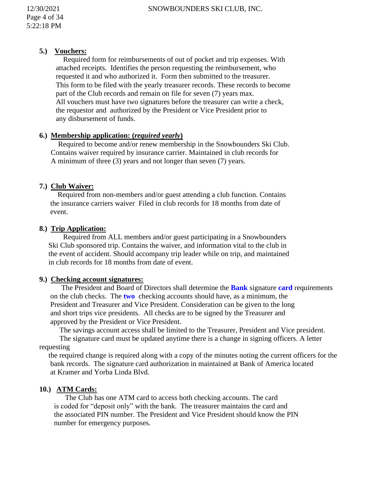# **5.) Vouchers:**

 Required form for reimbursements of out of pocket and trip expenses. With attached receipts. Identifies the person requesting the reimbursement, who requested it and who authorized it. Form then submitted to the treasurer. This form to be filed with the yearly treasurer records. These records to become part of the Club records and remain on file for seven (7) years max. All vouchers must have two signatures before the treasurer can write a check, the requestor and authorized by the President or Vice President prior to any disbursement of funds.

# **6.) Membership application: (***required yearly***)**

 Required to become and/or renew membership in the Snowbounders Ski Club. Contains waiver required by insurance carrier. Maintained in club records for A minimum of three (3) years and not longer than seven (7) years.

# **7.) Club Waiver:**

Required from non-members and/or guest attending a club function. Contains the insurance carriers waiver Filed in club records for 18 months from date of event.

### **8.) Trip Application:**

 Required from ALL members and/or guest participating in a Snowbounders Ski Club sponsored trip. Contains the waiver, and information vital to the club in the event of accident. Should accompany trip leader while on trip, and maintained in club records for 18 months from date of event.

### **9.) Checking account signatures:**

 The President and Board of Directors shall determine the **Bank** signature **card** requirements on the club checks. The **two** checking accounts should have, as a minimum, the President and Treasurer and Vice President. Consideration can be given to the long and short trips vice presidents. All checks are to be signed by the Treasurer and approved by the President or Vice President.

The savings account access shall be limited to the Treasurer, President and Vice president.

 The signature card must be updated anytime there is a change in signing officers. A letter requesting

 the required change is required along with a copy of the minutes noting the current officers for the bank records. The signature card authorization in maintained at Bank of America located at Kramer and Yorba Linda Blvd.

# **10.) ATM Cards:**

 The Club has one ATM card to access both checking accounts. The card is coded for "deposit only" with the bank. The treasurer maintains the card and the associated PIN number. The President and Vice President should know the PIN number for emergency purposes.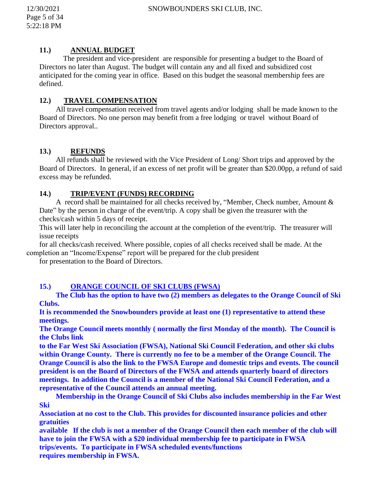# **11.) ANNUAL BUDGET**

The president and vice-president are responsible for presenting a budget to the Board of Directors no later than August. The budget will contain any and all fixed and subsidized cost anticipated for the coming year in office. Based on this budget the seasonal membership fees are defined.

# **12.) TRAVEL COMPENSATION**

 All travel compensation received from travel agents and/or lodging shall be made known to the Board of Directors. No one person may benefit from a free lodging or travel without Board of Directors approval..

# **13.) REFUNDS**

 All refunds shall be reviewed with the Vice President of Long/ Short trips and approved by the Board of Directors. In general, if an excess of net profit will be greater than \$20.00pp, a refund of said excess may be refunded.

# **14.) TRIP/EVENT (FUNDS) RECORDING**

 A record shall be maintained for all checks received by, "Member, Check number, Amount & Date" by the person in charge of the event/trip. A copy shall be given the treasurer with the checks/cash within 5 days of receipt.

This will later help in reconciling the account at the completion of the event/trip. The treasurer will issue receipts

 for all checks/cash received. Where possible, copies of all checks received shall be made. At the completion an "Income/Expense" report will be prepared for the club president

for presentation to the Board of Directors.

# **15.) ORANGE COUNCIL OF SKI CLUBS (FWSA)**

 **The Club has the option to have two (2) members as delegates to the Orange Council of Ski Clubs.** 

**It is recommended the Snowbounders provide at least one (1) representative to attend these meetings.** 

**The Orange Council meets monthly ( normally the first Monday of the month). The Council is the Clubs link**

**to the Far West Ski Association (FWSA), National Ski Council Federation, and other ski clubs within Orange County. There is currently no fee to be a member of the Orange Council. The Orange Council is also the link to the FWSA Europe and domestic trips and events. The council president is on the Board of Directors of the FWSA and attends quarterly board of directors meetings. In addition the Council is a member of the National Ski Council Federation, and a representative of the Council attends an annual meeting.** 

 **Membership in the Orange Council of Ski Clubs also includes membership in the Far West Ski** 

**Association at no cost to the Club. This provides for discounted insurance policies and other gratuities**

**available If the club is not a member of the Orange Council then each member of the club will have to join the FWSA with a \$20 individual membership fee to participate in FWSA trips/events. To participate in FWSA scheduled events/functions requires membership in FWSA.**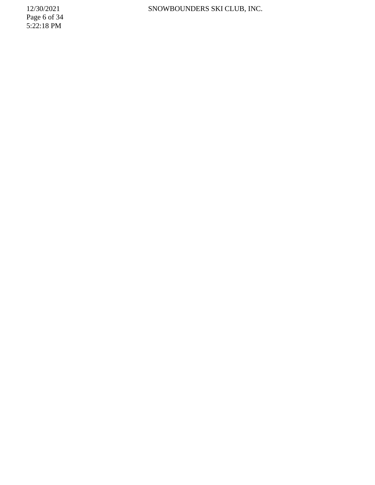SNOWBOUNDERS SKI CLUB, INC.

Page 6 of 34 5:22:18 PM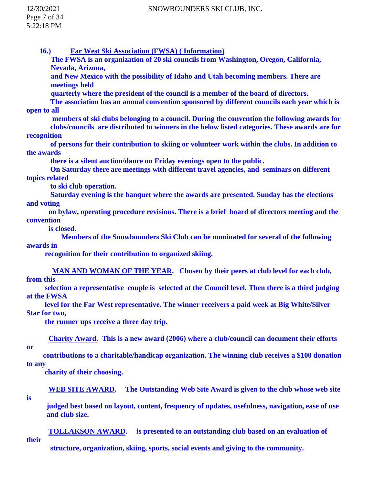**16.) Far West Ski Association (FWSA) ( Information)**

**The FWSA is an organization of 20 ski councils from Washington, Oregon, California, Nevada, Arizona,** 

**and New Mexico with the possibility of Idaho and Utah becoming members. There are meetings held** 

**quarterly where the president of the council is a member of the board of directors.** 

 **The association has an annual convention sponsored by different councils each year which is open to all** 

 **members of ski clubs belonging to a council. During the convention the following awards for clubs/councils are distributed to winners in the below listed categories. These awards are for recognition** 

 **of persons for their contribution to skiing or volunteer work within the clubs. In addition to the awards** 

 **there is a silent auction/dance on Friday evenings open to the public.**

 **On Saturday there are meetings with different travel agencies, and seminars on different topics related**

 **to ski club operation.** 

 **Saturday evening is the banquet where the awards are presented. Sunday has the elections and voting** 

 **on bylaw, operating procedure revisions. There is a brief board of directors meeting and the convention** 

 **is closed.**

 **Members of the Snowbounders Ski Club can be nominated for several of the following awards in** 

 **recognition for their contribution to organized skiing.** 

 **MAN AND WOMAN OF THE YEAR. Chosen by their peers at club level for each club, from this** 

 **selection a representative couple is selected at the Council level. Then there is a third judging at the FWSA** 

 **level for the Far West representative. The winner receivers a paid week at Big White/Silver Star for two,**

 **the runner ups receive a three day trip.**

 **Charity Award. This is a new award (2006) where a club/council can document their efforts** 

**or** 

 **contributions to a charitable/handicap organization. The winning club receives a \$100 donation to any** 

 **charity of their choosing.**

 **WEB SITE AWARD. The Outstanding Web Site Award is given to the club whose web site** 

**is** 

 **judged best based on layout, content, frequency of updates, usefulness, navigation, ease of use and club size.**

 **TOLLAKSON AWARD. is presented to an outstanding club based on an evaluation of** 

**their** 

 **structure, organization, skiing, sports, social events and giving to the community.**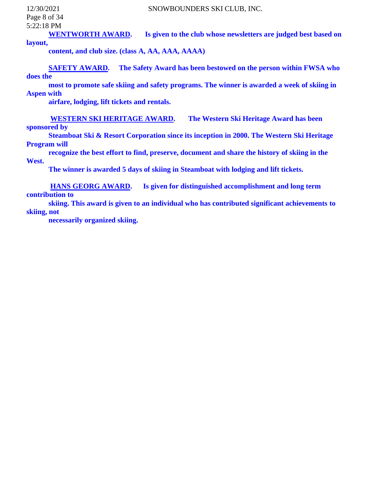Page 8 of 34

5:22:18 PM

 **WENTWORTH AWARD. Is given to the club whose newsletters are judged best based on layout,** 

 **content, and club size. (class A, AA, AAA, AAAA)**

 **SAFETY AWARD. The Safety Award has been bestowed on the person within FWSA who does the** 

 **most to promote safe skiing and safety programs. The winner is awarded a week of skiing in Aspen with**

 **airfare, lodging, lift tickets and rentals.** 

 **WESTERN SKI HERITAGE AWARD. The Western Ski Heritage Award has been sponsored by**

 **Steamboat Ski & Resort Corporation since its inception in 2000. The Western Ski Heritage Program will** 

 **recognize the best effort to find, preserve, document and share the history of skiing in the West.** 

 **The winner is awarded 5 days of skiing in Steamboat with lodging and lift tickets.** 

 **HANS GEORG AWARD. Is given for distinguished accomplishment and long term contribution to** 

 **skiing. This award is given to an individual who has contributed significant achievements to skiing, not** 

 **necessarily organized skiing.**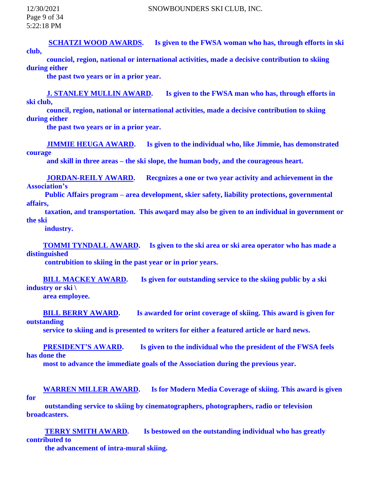**SCHATZI WOOD AWARDS.** Is given to the FWSA woman who has, through efforts in ski **club,** 

 **counciol, region, national or international activities, made a decisive contribution to skiing during either** 

 **the past two years or in a prior year.**

 **J. STANLEY MULLIN AWARD. Is given to the FWSA man who has, through efforts in ski club,** 

 **council, region, national or international activities, made a decisive contribution to skiing during either** 

 **the past two years or in a prior year.**

 **JIMMIE HEUGA AWARD. Is given to the individual who, like Jimmie, has demonstrated courage** 

 **and skill in three areas – the ski slope, the human body, and the courageous heart.**

 **JORDAN-REILY AWARD. Recgnizes a one or two year activity and achievement in the Association's** 

 **Public Affairs program – area development, skier safety, liability protections, governmental affairs,** 

 **taxation, and transportation. This awqard may also be given to an individual in government or the ski** 

 **industry.**

 **TOMMI TYNDALL AWARD. Is given to the ski area or ski area operator who has made a distinguished** 

 **contrubition to skiing in the past year or in prior years.** 

 **BILL MACKEY AWARD. Is given for outstanding service to the skiing public by a ski industry or ski \**

 **area employee.**

**BILL BERRY AWARD.** Is awarded for orint coverage of skiing. This award is given for **outstanding** 

 **service to skiing and is presented to writers for either a featured article or hard news.**

 **PRESIDENT'S AWARD. Is given to the individual who the president of the FWSA feels has done the** 

 **most to advance the immediate goals of the Association during the previous year.**

 **WARREN MILLER AWARD. Is for Modern Media Coverage of skiing. This award is given for** 

 **outstanding service to skiing by cinematographers, photographers, radio or television broadcasters.**

 **TERRY SMITH AWARD. Is bestowed on the outstanding individual who has greatly contributed to** 

 **the advancement of intra-mural skiing.**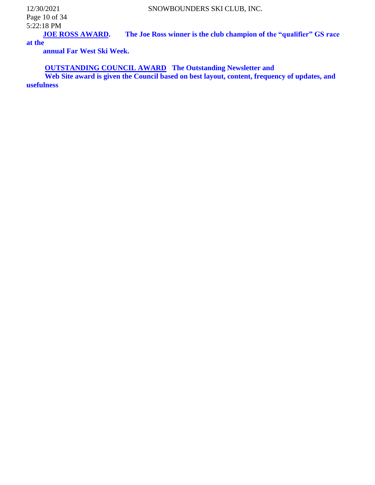Page 10 of 34 5:22:18 PM

 **JOE ROSS AWARD. The Joe Ross winner is the club champion of the "qualifier" GS race at the** 

 **annual Far West Ski Week.**

 **OUTSTANDING COUNCIL AWARD The Outstanding Newsletter and** 

 **Web Site award is given the Council based on best layout, content, frequency of updates, and usefulness**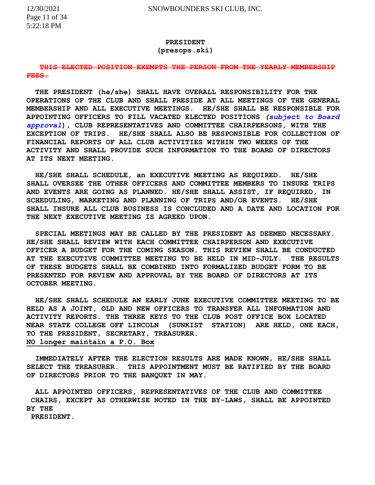#### **PRESIDENT**

### **(presops.ski)**

 **THIS ELECTED POSITION EXEMPTS THE PERSON FROM THE YEARLY MEMBERSHIP FEES.**

 **THE PRESIDENT (he/she) SHALL HAVE OVERALL RESPONSIBILITY FOR THE OPERATIONS OF THE CLUB AND SHALL PRESIDE AT ALL MEETINGS OF THE GENERAL MEMBERSHIP AND ALL EXECUTIVE MEETINGS. HE/SHE SHALL BE RESPONSIBLE FOR APPOINTING OFFICERS TO FILL VACATED ELECTED POSITIONS** *(subject to Board approval***), CLUB REPRESENTATIVES AND COMMITTEE CHAIRPERSONS, WITH THE EXCEPTION OF TRIPS. HE/SHE SHALL ALSO BE RESPONSIBLE FOR COLLECTION OF FINANCIAL REPORTS OF ALL CLUB ACTIVITIES WITHIN TWO WEEKS OF THE ACTIVITY AND SHALL PROVIDE SUCH INFORMATION TO THE BOARD OF DIRECTORS AT ITS NEXT MEETING.**

 **HE/SHE SHALL SCHEDULE, an EXECUTIVE MEETING AS REQUIRED. HE/SHE SHALL OVERSEE THE OTHER OFFICERS AND COMMITTEE MEMBERS TO INSURE TRIPS AND EVENTS ARE GOING AS PLANNED. HE/SHE SHALL ASSIST, IF REQUIRED, IN SCHEDULING, MARKETING AND PLANNING OF TRIPS AND/OR EVENTS. HE/SHE SHALL INSURE ALL CLUB BUSINESS IS CONCLUDED AND A DATE AND LOCATION FOR THE NEXT EXECUTIVE MEETING IS AGREED UPON.**

 **SPECIAL MEETINGS MAY BE CALLED BY THE PRESIDENT AS DEEMED NECESSARY. HE/SHE SHALL REVIEW WITH EACH COMMITTEE CHAIRPERSON AND EXECUTIVE OFFICER A BUDGET FOR THE COMING SEASON. THIS REVIEW SHALL BE CONDUCTED AT THE EXECUTIVE COMMITTEE MEETING TO BE HELD IN MID-JULY. THE RESULTS OF THESE BUDGETS SHALL BE COMBINED INTO FORMALIZED BUDGET FORM TO BE PRESENTED FOR REVIEW AND APPROVAL BY THE BOARD OF DIRECTORS AT ITS OCTOBER MEETING.**

 **HE/SHE SHALL SCHEDULE AN EARLY JUNE EXECUTIVE COMMITTEE MEETING TO BE HELD AS A JOINT, OLD AND NEW OFFICERS TO TRANSFER ALL INFORMATION AND ACTIVITY REPORTS. THE THREE KEYS TO THE CLUB POST OFFICE BOX LOCATED NEAR STATE COLLEGE OFF LINCOLN (SUNKIST STATION) ARE HELD, ONE EACH, TO THE PRESIDENT, SECRETARY, TREASURER. NO longer maintain a P.O. Box**

 **IMMEDIATELY AFTER THE ELECTION RESULTS ARE MADE KNOWN, HE/SHE SHALL SELECT THE TREASURER. THIS APPOINTMENT MUST BE RATIFIED BY THE BOARD OF DIRECTORS PRIOR TO THE BANQUET IN MAY.**

 **ALL APPOINTED OFFICERS, REPRESENTATIVES OF THE CLUB AND COMMITTEE CHAIRS, EXCEPT AS OTHERWISE NOTED IN THE BY-LAWS, SHALL BE APPOINTED BY THE** 

**PRESIDENT.**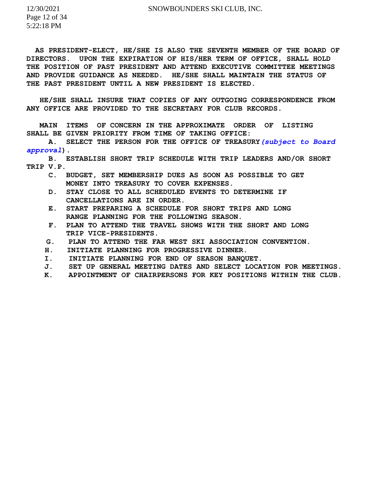**AS PRESIDENT-ELECT, HE/SHE IS ALSO THE SEVENTH MEMBER OF THE BOARD OF DIRECTORS. UPON THE EXPIRATION OF HIS/HER TERM OF OFFICE, SHALL HOLD THE POSITION OF PAST PRESIDENT AND ATTEND EXECUTIVE COMMITTEE MEETINGS AND PROVIDE GUIDANCE AS NEEDED. HE/SHE SHALL MAINTAIN THE STATUS OF THE PAST PRESIDENT UNTIL A NEW PRESIDENT IS ELECTED.**

 **HE/SHE SHALL INSURE THAT COPIES OF ANY OUTGOING CORRESPONDENCE FROM ANY OFFICE ARE PROVIDED TO THE SECRETARY FOR CLUB RECORDS.** 

 **MAIN ITEMS OF CONCERN IN THE APPROXIMATE ORDER OF LISTING SHALL BE GIVEN PRIORITY FROM TIME OF TAKING OFFICE:**

 **A. SELECT THE PERSON FOR THE OFFICE OF TREASURY***(subject to Board approval***).**

 **B. ESTABLISH SHORT TRIP SCHEDULE WITH TRIP LEADERS AND/OR SHORT TRIP V.P.**

- **C. BUDGET, SET MEMBERSHIP DUES AS SOON AS POSSIBLE TO GET MONEY INTO TREASURY TO COVER EXPENSES.**
- **D. STAY CLOSE TO ALL SCHEDULED EVENTS TO DETERMINE IF CANCELLATIONS ARE IN ORDER.**
- **E. START PREPARING A SCHEDULE FOR SHORT TRIPS AND LONG RANGE PLANNING FOR THE FOLLOWING SEASON.**
- **F. PLAN TO ATTEND THE TRAVEL SHOWS WITH THE SHORT AND LONG TRIP VICE-PRESIDENTS.**
- **G. PLAN TO ATTEND THE FAR WEST SKI ASSOCIATION CONVENTION.**
- **H. INITIATE PLANNING FOR PROGRESSIVE DINNER.**
- **I. INITIATE PLANNING FOR END OF SEASON BANQUET.**
- **J. SET UP GENERAL MEETING DATES AND SELECT LOCATION FOR MEETINGS.**
- **K. APPOINTMENT OF CHAIRPERSONS FOR KEY POSITIONS WITHIN THE CLUB.**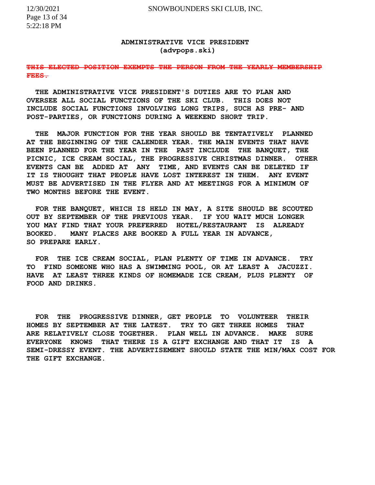### **ADMINISTRATIVE VICE PRESIDENT (advpops.ski)**

### **THIS ELECTED POSITION EXEMPTS THE PERSON FROM THE YEARLY MEMBERSHIP FEES.**

 **THE ADMINISTRATIVE VICE PRESIDENT'S DUTIES ARE TO PLAN AND OVERSEE ALL SOCIAL FUNCTIONS OF THE SKI CLUB. THIS DOES NOT INCLUDE SOCIAL FUNCTIONS INVOLVING LONG TRIPS, SUCH AS PRE- AND POST-PARTIES, OR FUNCTIONS DURING A WEEKEND SHORT TRIP.**

 **THE MAJOR FUNCTION FOR THE YEAR SHOULD BE TENTATIVELY PLANNED AT THE BEGINNING OF THE CALENDER YEAR. THE MAIN EVENTS THAT HAVE BEEN PLANNED FOR THE YEAR IN THE PAST INCLUDE THE BANQUET, THE PICNIC, ICE CREAM SOCIAL, THE PROGRESSIVE CHRISTMAS DINNER. OTHER EVENTS CAN BE ADDED AT ANY TIME, AND EVENTS CAN BE DELETED IF IT IS THOUGHT THAT PEOPLE HAVE LOST INTEREST IN THEM. ANY EVENT MUST BE ADVERTISED IN THE FLYER AND AT MEETINGS FOR A MINIMUM OF TWO MONTHS BEFORE THE EVENT.** 

 **FOR THE BANQUET, WHICH IS HELD IN MAY, A SITE SHOULD BE SCOUTED OUT BY SEPTEMBER OF THE PREVIOUS YEAR. IF YOU WAIT MUCH LONGER YOU MAY FIND THAT YOUR PREFERRED HOTEL/RESTAURANT IS ALREADY BOOKED. MANY PLACES ARE BOOKED A FULL YEAR IN ADVANCE, SO PREPARE EARLY.**

 **FOR THE ICE CREAM SOCIAL, PLAN PLENTY OF TIME IN ADVANCE. TRY TO FIND SOMEONE WHO HAS A SWIMMING POOL, OR AT LEAST A JACUZZI. HAVE AT LEAST THREE KINDS OF HOMEMADE ICE CREAM, PLUS PLENTY OF FOOD AND DRINKS.**

 **FOR THE PROGRESSIVE DINNER, GET PEOPLE TO VOLUNTEER THEIR HOMES BY SEPTEMBER AT THE LATEST. TRY TO GET THREE HOMES THAT ARE RELATIVELY CLOSE TOGETHER. PLAN WELL IN ADVANCE. MAKE SURE EVERYONE KNOWS THAT THERE IS A GIFT EXCHANGE AND THAT IT IS A SEMI-DRESSY EVENT. THE ADVERTISEMENT SHOULD STATE THE MIN/MAX COST FOR THE GIFT EXCHANGE.**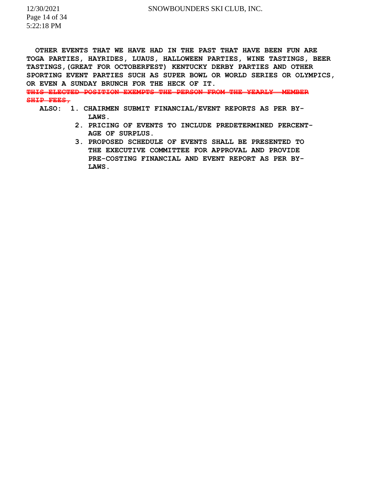**OTHER EVENTS THAT WE HAVE HAD IN THE PAST THAT HAVE BEEN FUN ARE TOGA PARTIES, HAYRIDES, LUAUS, HALLOWEEN PARTIES, WINE TASTINGS, BEER TASTINGS,(GREAT FOR OCTOBERFEST) KENTUCKY DERBY PARTIES AND OTHER SPORTING EVENT PARTIES SUCH AS SUPER BOWL OR WORLD SERIES OR OLYMPICS, OR EVEN A SUNDAY BRUNCH FOR THE HECK OF IT. THIS ELECTED POSITION EXEMPTS THE PERSON FROM THE YEARLY MEMBER**

**SHIP FEES,**

- **ALSO: 1. CHAIRMEN SUBMIT FINANCIAL/EVENT REPORTS AS PER BY- LAWS.**
	- **2. PRICING OF EVENTS TO INCLUDE PREDETERMINED PERCENT- AGE OF SURPLUS.**
	- **3. PROPOSED SCHEDULE OF EVENTS SHALL BE PRESENTED TO THE EXECUTIVE COMMITTEE FOR APPROVAL AND PROVIDE PRE-COSTING FINANCIAL AND EVENT REPORT AS PER BY- LAWS.**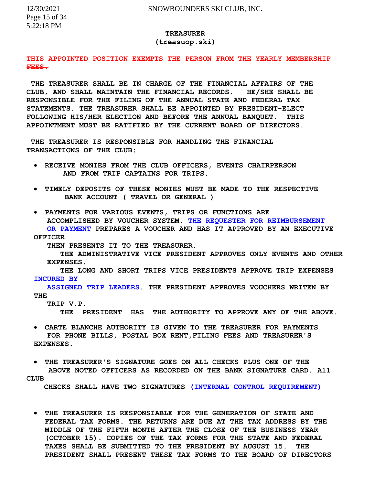#### **TREASURER**

#### **(treasuop.ski)**

### **THIS APPOINTED POSITION EXEMPTS THE PERSON FROM THE YEARLY MEMBERSHIP FEES.**

**THE TREASURER SHALL BE IN CHARGE OF THE FINANCIAL AFFAIRS OF THE CLUB, AND SHALL MAINTAIN THE FINANCIAL RECORDS. HE/SHE SHALL BE RESPONSIBLE FOR THE FILING OF THE ANNUAL STATE AND FEDERAL TAX STATEMENTS. THE TREASURER SHALL BE APPOINTED BY PRESIDENT-ELECT FOLLOWING HIS/HER ELECTION AND BEFORE THE ANNUAL BANQUET. THIS APPOINTMENT MUST BE RATIFIED BY THE CURRENT BOARD OF DIRECTORS.**

**THE TREASURER IS RESPONSIBLE FOR HANDLING THE FINANCIAL TRANSACTIONS OF THE CLUB:**

- **RECEIVE MONIES FROM THE CLUB OFFICERS, EVENTS CHAIRPERSON AND FROM TRIP CAPTAINS FOR TRIPS.**
- **TIMELY DEPOSITS OF THESE MONIES MUST BE MADE TO THE RESPECTIVE BANK ACCOUNT ( TRAVEL OR GENERAL )**

• **PAYMENTS FOR VARIOUS EVENTS, TRIPS OR FUNCTIONS ARE ACCOMPLISHED BY VOUCHER SYSTEM. THE REQUESTER FOR REIMBURSEMENT OR PAYMENT PREPARES A VOUCHER AND HAS IT APPROVED BY AN EXECUTIVE OFFICER** 

 **THEN PRESENTS IT TO THE TREASURER.** 

 **THE ADMINISTRATIVE VICE PRESIDENT APPROVES ONLY EVENTS AND OTHER EXPENSES.** 

 **THE LONG AND SHORT TRIPS VICE PRESIDENTS APPROVE TRIP EXPENSES INCURED BY** 

 **ASSIGNED TRIP LEADERS. THE PRESIDENT APPROVES VOUCHERS WRITEN BY THE** 

 **TRIP V.P.**

 **THE PRESIDENT HAS THE AUTHORITY TO APPROVE ANY OF THE ABOVE.**

- **CARTE BLANCHE AUTHORITY IS GIVEN TO THE TREASURER FOR PAYMENTS FOR PHONE BILLS, POSTAL BOX RENT,FILING FEES AND TREASURER'S EXPENSES.**
- **THE TREASURER'S SIGNATURE GOES ON ALL CHECKS PLUS ONE OF THE ABOVE NOTED OFFICERS AS RECORDED ON THE BANK SIGNATURE CARD. All CLUB**

 **CHECKS SHALL HAVE TWO SIGNATURES (INTERNAL CONTROL REQUIREMENT)**

• **THE TREASURER IS RESPONSIABLE FOR THE GENERATION OF STATE AND FEDERAL TAX FORMS. THE RETURNS ARE DUE AT THE TAX ADDRESS BY THE MIDDLE OF THE FIFTH MONTH AFTER THE CLOSE OF THE BUSINESS YEAR (OCTOBER 15). COPIES OF THE TAX FORMS FOR THE STATE AND FEDERAL TAXES SHALL BE SUBMITTED TO THE PRESIDENT BY AUGUST 15. THE PRESIDENT SHALL PRESENT THESE TAX FORMS TO THE BOARD OF DIRECTORS**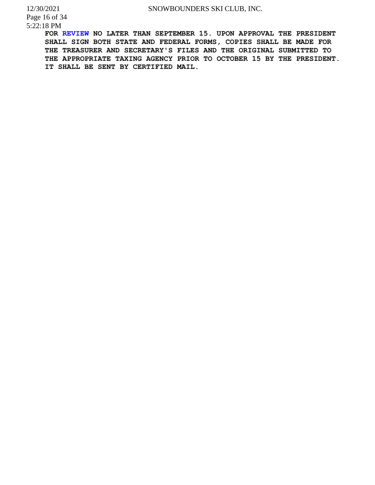Page 16 of 34

5:22:18 PM

**FOR REVIEW NO LATER THAN SEPTEMBER 15. UPON APPROVAL THE PRESIDENT SHALL SIGN BOTH STATE AND FEDERAL FORMS, COPIES SHALL BE MADE FOR THE TREASURER AND SECRETARY'S FILES AND THE ORIGINAL SUBMITTED TO THE APPROPRIATE TAXING AGENCY PRIOR TO OCTOBER 15 BY THE PRESIDENT. IT SHALL BE SENT BY CERTIFIED MAIL.**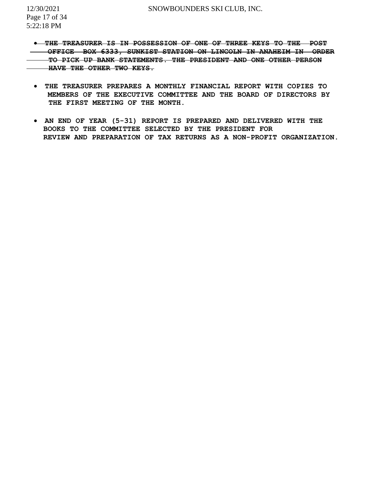- **THE TREASURER IS IN POSSESSION OF ONE OF THREE KEYS TO THE POST OFFICE BOX 6333, SUNKIST STATION ON LINCOLN IN ANAHEIM IN ORDER TO PICK UP BANK STATEMENTS. THE PRESIDENT AND ONE OTHER PERSON HAVE THE OTHER TWO KEYS.**
	- **THE TREASURER PREPARES A MONTHLY FINANCIAL REPORT WITH COPIES TO MEMBERS OF THE EXECUTIVE COMMITTEE AND THE BOARD OF DIRECTORS BY THE FIRST MEETING OF THE MONTH.**
	- **AN END OF YEAR (5-31) REPORT IS PREPARED AND DELIVERED WITH THE BOOKS TO THE COMMITTEE SELECTED BY THE PRESIDENT FOR REVIEW AND PREPARATION OF TAX RETURNS AS A NON-PROFIT ORGANIZATION.**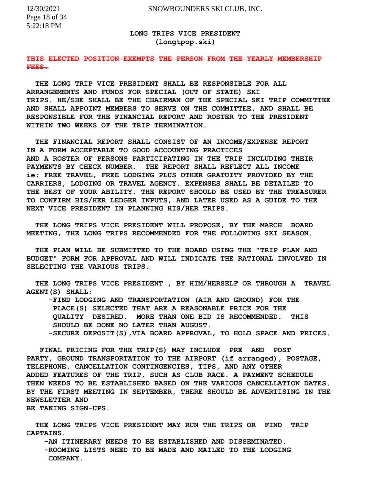### **LONG TRIPS VICE PRESIDENT (longtpop.ski)**

### **THIS ELECTED POSITION EXEMPTS THE PERSON FROM THE YEARLY MEMBERSHIP FEES.**

 **THE LONG TRIP VICE PRESIDENT SHALL BE RESPONSIBLE FOR ALL ARRANGEMENTS AND FUNDS FOR SPECIAL (OUT OF STATE) SKI TRIPS. HE/SHE SHALL BE THE CHAIRMAN OF THE SPECIAL SKI TRIP COMMITTEE AND SHALL APPOINT MEMBERS TO SERVE ON THE COMMITTEE, AND SHALL BE RESPONSIBLE FOR THE FINANCIAL REPORT AND ROSTER TO THE PRESIDENT WITHIN TWO WEEKS OF THE TRIP TERMINATION.** 

 **THE FINANCIAL REPORT SHALL CONSIST OF AN INCOME/EXPENSE REPORT IN A FORM ACCEPTABLE TO GOOD ACCOUNTING PRACTICES AND A ROSTER OF PERSONS PARTICIPATING IN THE TRIP INCLUDING THEIR PAYMENTS BY CHECK NUMBER. THE REPORT SHALL REFLECT ALL INCOME ie; FREE TRAVEL, FREE LODGING PLUS OTHER GRATUITY PROVIDED BY THE CARRIERS, LODGING OR TRAVEL AGENCY. EXPENSES SHALL BE DETAILED TO THE BEST OF YOUR ABILITY. THE REPORT SHOULD BE USED BY THE TREASURER TO CONFIRM HIS/HER LEDGER INPUTS, AND LATER USED AS A GUIDE TO THE NEXT VICE PRESIDENT IN PLANNING HIS/HER TRIPS.**

 **THE LONG TRIPS VICE PRESIDENT WILL PROPOSE, BY THE MARCH BOARD MEETING, THE LONG TRIPS RECOMMENDED FOR THE FOLLOWING SKI SEASON.** 

**THE PLAN WILL BE SUBMITTED TO THE BOARD USING THE "TRIP PLAN AND BUDGET" FORM FOR APPROVAL AND WILL INDICATE THE RATIONAL INVOLVED IN SELECTING THE VARIOUS TRIPS.**

 **THE LONG TRIPS VICE PRESIDENT , BY HIM/HERSELF OR THROUGH A TRAVEL AGENT(S) SHALL:**

 **-FIND LODGING AND TRANSPORTATION (AIR AND GROUND) FOR THE PLACE(S) SELECTED THAT ARE A REASONABLE PRICE FOR THE QUALITY DESIRED. MORE THAN ONE BID IS RECOMMENDED. THIS SHOULD BE DONE NO LATER THAN AUGUST. -SECURE DEPOSIT(S),VIA BOARD APPROVAL, TO HOLD SPACE AND PRICES.**

 **FINAL PRICING FOR THE TRIP(S) MAY INCLUDE PRE AND POST PARTY, GROUND TRANSPORTATION TO THE AIRPORT (if arranged), POSTAGE, TELEPHONE, CANCELLATION CONTINGENCIES, TIPS, AND ANY OTHER ADDED FEATURES OF THE TRIP, SUCH AS CLUB RACE. A PAYMENT SCHEDULE THEN NEEDS TO BE ESTABLISHED BASED ON THE VARIOUS CANCELLATION DATES. BY THE FIRST MEETING IN SEPTEMBER, THERE SHOULD BE ADVERTISING IN THE NEWSLETTER AND** 

**BE TAKING SIGN-UPS.**

 **THE LONG TRIPS VICE PRESIDENT MAY RUN THE TRIPS OR FIND TRIP CAPTAINS.**

 **-AN ITINERARY NEEDS TO BE ESTABLISHED AND DISSEMINATED. -ROOMING LISTS NEED TO BE MADE AND MAILED TO THE LODGING COMPANY.**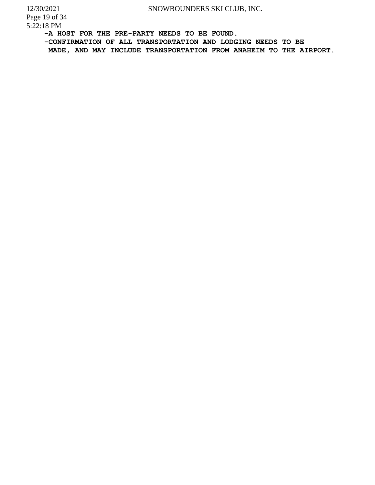Page 19 of 34 5:22:18 PM

 **-A HOST FOR THE PRE-PARTY NEEDS TO BE FOUND.**

 **-CONFIRMATION OF ALL TRANSPORTATION AND LODGING NEEDS TO BE**

 **MADE, AND MAY INCLUDE TRANSPORTATION FROM ANAHEIM TO THE AIRPORT.**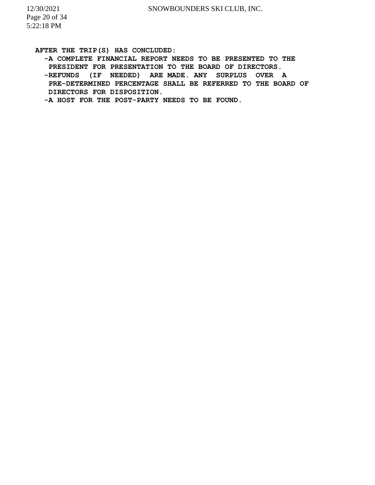Page 20 of 34 5:22:18 PM

 **AFTER THE TRIP(S) HAS CONCLUDED:**

 **-A COMPLETE FINANCIAL REPORT NEEDS TO BE PRESENTED TO THE PRESIDENT FOR PRESENTATION TO THE BOARD OF DIRECTORS. -REFUNDS (IF NEEDED) ARE MADE. ANY SURPLUS OVER A PRE-DETERMINED PERCENTAGE SHALL BE REFERRED TO THE BOARD OF DIRECTORS FOR DISPOSITION.**

 **-A HOST FOR THE POST-PARTY NEEDS TO BE FOUND.**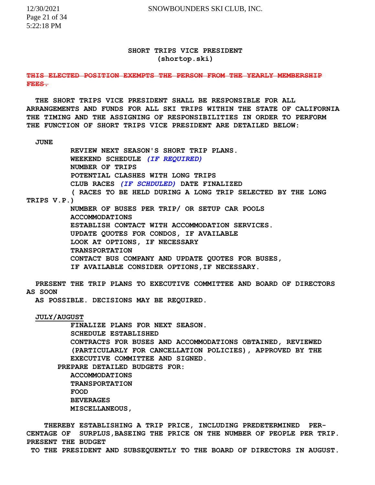### **SHORT TRIPS VICE PRESIDENT (shortop.ski)**

### **THIS ELECTED POSITION EXEMPTS THE PERSON FROM THE YEARLY MEMBERSHIP FEES.**

 **THE SHORT TRIPS VICE PRESIDENT SHALL BE RESPONSIBLE FOR ALL ARRANGEMENTS AND FUNDS FOR ALL SKI TRIPS WITHIN THE STATE OF CALIFORNIA THE TIMING AND THE ASSIGNING OF RESPONSIBILITIES IN ORDER TO PERFORM THE FUNCTION OF SHORT TRIPS VICE PRESIDENT ARE DETAILED BELOW:**

 **JUNE**

 **REVIEW NEXT SEASON'S SHORT TRIP PLANS. WEEKEND SCHEDULE** *(IF REQUIRED)*  **NUMBER OF TRIPS POTENTIAL CLASHES WITH LONG TRIPS CLUB RACES** *(IF SCHDULED)* **DATE FINALIZED ( RACES TO BE HELD DURING A LONG TRIP SELECTED BY THE LONG** 

**TRIPS V.P.)**

 **NUMBER OF BUSES PER TRIP/ OR SETUP CAR POOLS ACCOMMODATIONS ESTABLISH CONTACT WITH ACCOMMODATION SERVICES. UPDATE QUOTES FOR CONDOS, IF AVAILABLE LOOK AT OPTIONS, IF NECESSARY TRANSPORTATION CONTACT BUS COMPANY AND UPDATE QUOTES FOR BUSES, IF AVAILABLE CONSIDER OPTIONS,IF NECESSARY.**

 **PRESENT THE TRIP PLANS TO EXECUTIVE COMMITTEE AND BOARD OF DIRECTORS AS SOON**

**AS POSSIBLE. DECISIONS MAY BE REQUIRED.**

 **JULY/AUGUST**

 **FINALIZE PLANS FOR NEXT SEASON. SCHEDULE ESTABLISHED CONTRACTS FOR BUSES AND ACCOMMODATIONS OBTAINED, REVIEWED (PARTICULARLY FOR CANCELLATION POLICIES), APPROVED BY THE EXECUTIVE COMMITTEE AND SIGNED. PREPARE DETAILED BUDGETS FOR:**

 **ACCOMMODATIONS TRANSPORTATION FOOD BEVERAGES MISCELLANEOUS,**

 **THEREBY ESTABLISHING A TRIP PRICE, INCLUDING PREDETERMINED PER-CENTAGE OF SURPLUS,BASEING THE PRICE ON THE NUMBER OF PEOPLE PER TRIP. PRESENT THE BUDGET**

**TO THE PRESIDENT AND SUBSEQUENTLY TO THE BOARD OF DIRECTORS IN AUGUST.**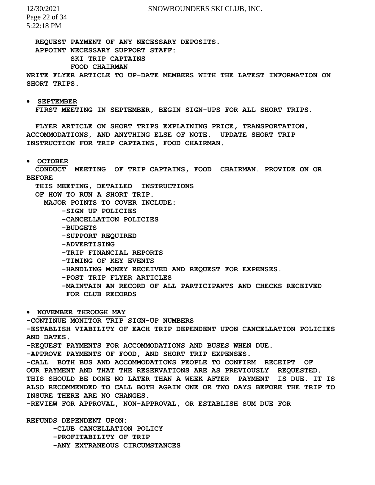Page 22 of 34 5:22:18 PM

> **REQUEST PAYMENT OF ANY NECESSARY DEPOSITS. APPOINT NECESSARY SUPPORT STAFF: SKI TRIP CAPTAINS FOOD CHAIRMAN**

**WRITE FLYER ARTICLE TO UP-DATE MEMBERS WITH THE LATEST INFORMATION ON SHORT TRIPS.**

• **SEPTEMBER**

 **FIRST MEETING IN SEPTEMBER, BEGIN SIGN-UPS FOR ALL SHORT TRIPS.**

 **FLYER ARTICLE ON SHORT TRIPS EXPLAINING PRICE, TRANSPORTATION, ACCOMMODATIONS, AND ANYTHING ELSE OF NOTE. UPDATE SHORT TRIP INSTRUCTION FOR TRIP CAPTAINS, FOOD CHAIRMAN.**

#### • **OCTOBER**

 **CONDUCT MEETING OF TRIP CAPTAINS, FOOD CHAIRMAN. PROVIDE ON OR BEFORE**

**THIS MEETING, DETAILED INSTRUCTIONS** 

 **OF HOW TO RUN A SHORT TRIP.** 

 **MAJOR POINTS TO COVER INCLUDE:**

- **-SIGN UP POLICIES**
- **-CANCELLATION POLICIES**
- **-BUDGETS**
- **-SUPPORT REQUIRED**
- **-ADVERTISING**
- **-TRIP FINANCIAL REPORTS**
- **-TIMING OF KEY EVENTS**
- **-HANDLING MONEY RECEIVED AND REQUEST FOR EXPENSES.**
- **-POST TRIP FLYER ARTICLES**
- **-MAINTAIN AN RECORD OF ALL PARTICIPANTS AND CHECKS RECEIVED FOR CLUB RECORDS**

• **NOVEMBER THROUGH MAY**

**-CONTINUE MONITOR TRIP SIGN-UP NUMBERS -ESTABLISH VIABILITY OF EACH TRIP DEPENDENT UPON CANCELLATION POLICIES AND DATES. -REQUEST PAYMENTS FOR ACCOMMODATIONS AND BUSES WHEN DUE. -APPROVE PAYMENTS OF FOOD, AND SHORT TRIP EXPENSES. -CALL BOTH BUS AND ACCOMMODATIONS PEOPLE TO CONFIRM RECEIPT OF OUR PAYMENT AND THAT THE RESERVATIONS ARE AS PREVIOUSLY REQUESTED. THIS SHOULD BE DONE NO LATER THAN A WEEK AFTER PAYMENT IS DUE. IT IS ALSO RECOMMENDED TO CALL BOTH AGAIN ONE OR TWO DAYS BEFORE THE TRIP TO INSURE THERE ARE NO CHANGES. -REVIEW FOR APPROVAL, NON-APPROVAL, OR ESTABLISH SUM DUE FOR** 

**REFUNDS DEPENDENT UPON: -CLUB CANCELLATION POLICY**

- **-PROFITABILITY OF TRIP**
- **-ANY EXTRANEOUS CIRCUMSTANCES**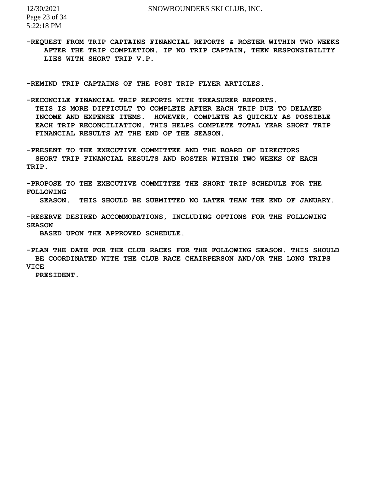**-REQUEST FROM TRIP CAPTAINS FINANCIAL REPORTS & ROSTER WITHIN TWO WEEKS AFTER THE TRIP COMPLETION. IF NO TRIP CAPTAIN, THEN RESPONSIBILITY LIES WITH SHORT TRIP V.P.**

**-REMIND TRIP CAPTAINS OF THE POST TRIP FLYER ARTICLES.**

**-RECONCILE FINANCIAL TRIP REPORTS WITH TREASURER REPORTS. THIS IS MORE DIFFICULT TO COMPLETE AFTER EACH TRIP DUE TO DELAYED INCOME AND EXPENSE ITEMS. HOWEVER, COMPLETE AS QUICKLY AS POSSIBLE EACH TRIP RECONCILIATION. THIS HELPS COMPLETE TOTAL YEAR SHORT TRIP FINANCIAL RESULTS AT THE END OF THE SEASON.**

**-PRESENT TO THE EXECUTIVE COMMITTEE AND THE BOARD OF DIRECTORS SHORT TRIP FINANCIAL RESULTS AND ROSTER WITHIN TWO WEEKS OF EACH TRIP.**

**-PROPOSE TO THE EXECUTIVE COMMITTEE THE SHORT TRIP SCHEDULE FOR THE FOLLOWING**

 **SEASON. THIS SHOULD BE SUBMITTED NO LATER THAN THE END OF JANUARY.**

**-RESERVE DESIRED ACCOMMODATIONS, INCLUDING OPTIONS FOR THE FOLLOWING SEASON** 

 **BASED UPON THE APPROVED SCHEDULE.** 

**-PLAN THE DATE FOR THE CLUB RACES FOR THE FOLLOWING SEASON. THIS SHOULD BE COORDINATED WITH THE CLUB RACE CHAIRPERSON AND/OR THE LONG TRIPS VICE**

 **PRESIDENT.**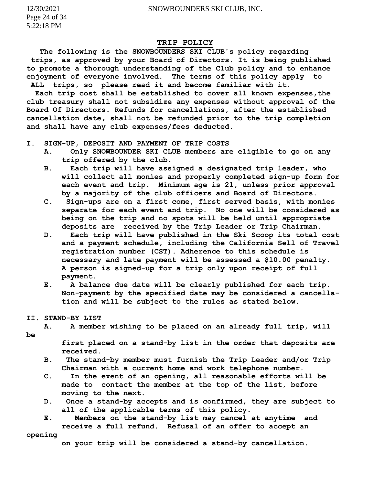Page 24 of 34 5:22:18 PM

### **TRIP POLICY**

 **The following is the SNOWBOUNDERS SKI CLUB's policy regarding trips, as approved by your Board of Directors. It is being published to promote a thorough understanding of the Club policy and to enhance enjoyment of everyone involved. The terms of this policy apply to ALL trips, so please read it and become familiar with it.** 

 **Each trip cost shall be established to cover all known expenses,the club treasury shall not subsidize any expenses without approval of the Board Of Directors. Refunds for cancellations, after the established cancellation date, shall not be refunded prior to the trip completion and shall have any club expenses/fees deducted.** 

- **I. SIGN-UP, DEPOSIT AND PAYMENT OF TRIP COSTS**
	- **A. Only SNOWBOUNDER SKI CLUB members are eligible to go on any trip offered by the club.**
	- **B. Each trip will have assigned a designated trip leader, who will collect all monies and properly completed sign-up form for each event and trip. Minimum age is 21, unless prior approval by a majority of the club officers and Board of Directors.**
	- **C. Sign-ups are on a first come, first served basis, with monies separate for each event and trip. No one will be considered as being on the trip and no spots will be held until appropriate deposits are received by the Trip Leader or Trip Chairman.**
	- **D. Each trip will have published in the Ski Scoop its total cost and a payment schedule, including the California Sell of Travel registration number (CST). Adherence to this schedule is necessary and late payment will be assessed a \$10.00 penalty. A person is signed-up for a trip only upon receipt of full payment.**
	- **E. A balance due date will be clearly published for each trip. Non-payment by the specified date may be considered a cancella tion and will be subject to the rules as stated below.**
- **II. STAND-BY LIST**

 **A. A member wishing to be placed on an already full trip, will** 

**be** 

 **first placed on a stand-by list in the order that deposits are** 

- **received.**
- **B. The stand-by member must furnish the Trip Leader and/or Trip Chairman with a current home and work telephone number.**
- **C. In the event of an opening, all reasonable efforts will be made to contact the member at the top of the list, before moving to the next.**
- **D. Once a stand-by accepts and is confirmed, they are subject to all of the applicable terms of this policy.**
- **E. Members on the stand-by list may cancel at anytime and receive a full refund. Refusal of an offer to accept an**
- **opening**

 **on your trip will be considered a stand-by cancellation.**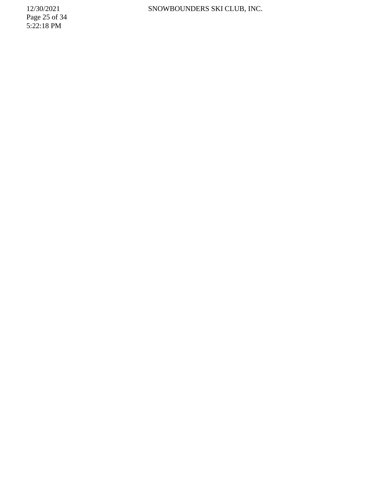SNOWBOUNDERS SKI CLUB, INC.

Page 25 of 34 5:22:18 PM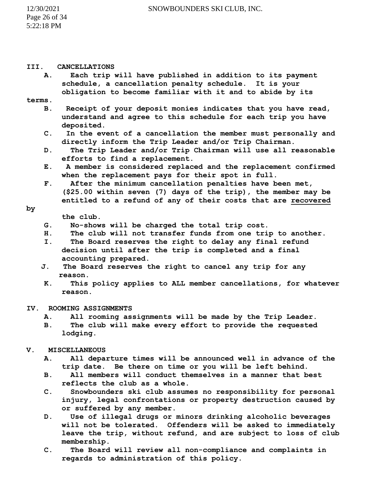#### **III. CANCELLATIONS**

 **A. Each trip will have published in addition to its payment schedule, a cancellation penalty schedule. It is your obligation to become familiar with it and to abide by its** 

**terms.**

- **B. Receipt of your deposit monies indicates that you have read, understand and agree to this schedule for each trip you have deposited.**
- **C. In the event of a cancellation the member must personally and directly inform the Trip Leader and/or Trip Chairman.**
- **D. The Trip Leader and/or Trip Chairman will use all reasonable efforts to find a replacement.**
- **E. A member is considered replaced and the replacement confirmed when the replacement pays for their spot in full.**
- **F. After the minimum cancellation penalties have been met, (\$25.00 within seven (7) days of the trip), the member may be entitled to a refund of any of their costs that are recovered**

**by** 

 **the club.**

- **G. No-shows will be charged the total trip cost.**
- **H. The club will not transfer funds from one trip to another.**
- **I. The Board reserves the right to delay any final refund decision until after the trip is completed and a final accounting prepared.**
- **J. The Board reserves the right to cancel any trip for any reason.**
- **K. This policy applies to ALL member cancellations, for whatever reason.**

### **IV. ROOMING ASSIGNMENTS**

- **A. All rooming assignments will be made by the Trip Leader.**
- **B. The club will make every effort to provide the requested lodging.**

### **V. MISCELLANEOUS**

- **A. All departure times will be announced well in advance of the trip date. Be there on time or you will be left behind.**
- **B. All members will conduct themselves in a manner that best reflects the club as a whole.**
- **C. Snowbounders ski club assumes no responsibility for personal injury, legal confrontations or property destruction caused by or suffered by any member.**
- **D. Use of illegal drugs or minors drinking alcoholic beverages will not be tolerated. Offenders will be asked to immediately leave the trip, without refund, and are subject to loss of club membership.**
- **C. The Board will review all non-compliance and complaints in regards to administration of this policy.**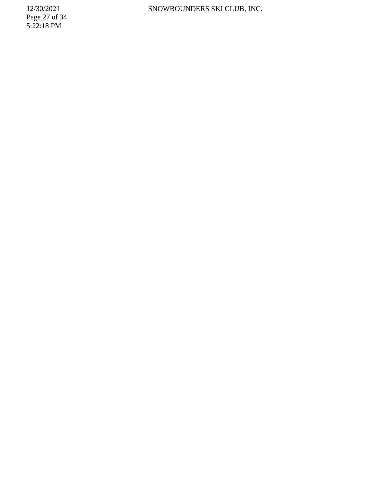SNOWBOUNDERS SKI CLUB, INC.

Page 27 of 34 5:22:18 PM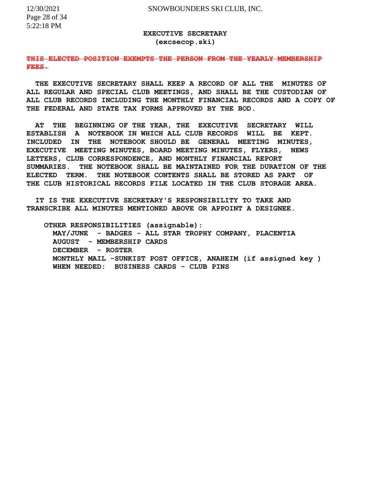### **EXECUTIVE SECRETARY (excsecop.ski)**

### **THIS ELECTED POSITION EXEMPTS THE PERSON FROM THE YEARLY MEMBERSHIP FEES.**

 **THE EXECUTIVE SECRETARY SHALL KEEP A RECORD OF ALL THE MINUTES OF ALL REGULAR AND SPECIAL CLUB MEETINGS, AND SHALL BE THE CUSTODIAN OF ALL CLUB RECORDS INCLUDING THE MONTHLY FINANCIAL RECORDS AND A COPY OF THE FEDERAL AND STATE TAX FORMS APPROVED BY THE BOD.**

 **AT THE BEGINNING OF THE YEAR, THE EXECUTIVE SECRETARY WILL ESTABLISH A NOTEBOOK IN WHICH ALL CLUB RECORDS WILL BE KEPT. INCLUDED IN THE NOTEBOOK SHOULD BE GENERAL MEETING MINUTES, EXECUTIVE MEETING MINUTES, BOARD MEETING MINUTES, FLYERS, NEWS LETTERS, CLUB CORRESPONDENCE, AND MONTHLY FINANCIAL REPORT SUMMARIES. THE NOTEBOOK SHALL BE MAINTAINED FOR THE DURATION OF THE ELECTED TERM. THE NOTEBOOK CONTENTS SHALL BE STORED AS PART OF THE CLUB HISTORICAL RECORDS FILE LOCATED IN THE CLUB STORAGE AREA.**

 **IT IS THE EXECUTIVE SECRETARY'S RESPONSIBILITY TO TAKE AND TRANSCRIBE ALL MINUTES MENTIONED ABOVE OR APPOINT A DESIGNEE.** 

 **OTHER RESPONSIBILITIES (assignable): MAY/JUNE - BADGES - ALL STAR TROPHY COMPANY, PLACENTIA AUGUST - MEMBERSHIP CARDS DECEMBER - ROSTER MONTHLY MAIL -SUNKIST POST OFFICE, ANAHEIM (if assigned key ) WHEN NEEDED: BUSINESS CARDS - CLUB PINS**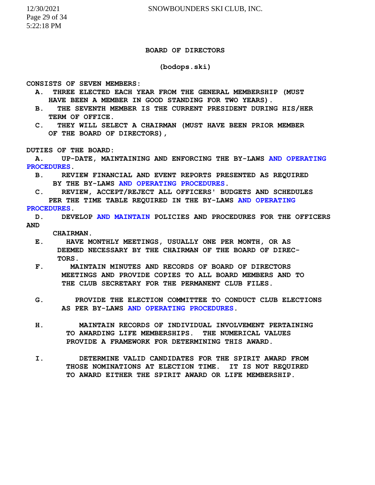#### **BOARD OF DIRECTORS**

**(bodops.ski)**

**CONSISTS OF SEVEN MEMBERS:**

- **A. THREE ELECTED EACH YEAR FROM THE GENERAL MEMBERSHIP (MUST HAVE BEEN A MEMBER IN GOOD STANDING FOR TWO YEARS).**
- **B. THE SEVENTH MEMBER IS THE CURRENT PRESIDENT DURING HIS/HER TERM OF OFFICE.**
- **C. THEY WILL SELECT A CHAIRMAN (MUST HAVE BEEN PRIOR MEMBER OF THE BOARD OF DIRECTORS),**

**DUTIES OF THE BOARD:**

 **A. UP-DATE, MAINTAINING AND ENFORCING THE BY-LAWS AND OPERATING PROCEDURES.**

- **B. REVIEW FINANCIAL AND EVENT REPORTS PRESENTED AS REQUIRED BY THE BY-LAWS AND OPERATING PROCEDURES.**
- **C. REVIEW, ACCEPT/REJECT ALL OFFICERS' BUDGETS AND SCHEDULES PER THE TIME TABLE REQUIRED IN THE BY-LAWS AND OPERATING PROCEDURES.**

 **D. DEVELOP AND MAINTAIN POLICIES AND PROCEDURES FOR THE OFFICERS AND** 

 **CHAIRMAN.**

- **E. HAVE MONTHLY MEETINGS, USUALLY ONE PER MONTH, OR AS DEEMED NECESSARY BY THE CHAIRMAN OF THE BOARD OF DIREC- TORS.**
- **F. MAINTAIN MINUTES AND RECORDS OF BOARD OF DIRECTORS MEETINGS AND PROVIDE COPIES TO ALL BOARD MEMBERS AND TO THE CLUB SECRETARY FOR THE PERMANENT CLUB FILES.**
- **G. PROVIDE THE ELECTION COMMITTEE TO CONDUCT CLUB ELECTIONS AS PER BY-LAWS AND OPERATING PROCEDURES.**
- **H. MAINTAIN RECORDS OF INDIVIDUAL INVOLVEMENT PERTAINING TO AWARDING LIFE MEMBERSHIPS. THE NUMERICAL VALUES PROVIDE A FRAMEWORK FOR DETERMINING THIS AWARD.**
- **I. DETERMINE VALID CANDIDATES FOR THE SPIRIT AWARD FROM THOSE NOMINATIONS AT ELECTION TIME. IT IS NOT REQUIRED TO AWARD EITHER THE SPIRIT AWARD OR LIFE MEMBERSHIP.**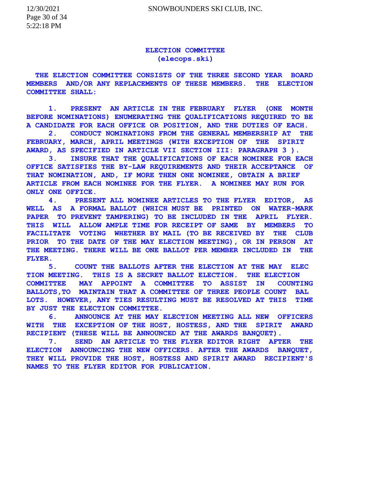### **ELECTION COMMITTEE (elecops.ski)**

 **THE ELECTION COMMITTEE CONSISTS OF THE THREE SECOND YEAR BOARD MEMBERS AND/OR ANY REPLACEMENTS OF THESE MEMBERS. THE ELECTION COMMITTEE SHALL:**

 **1. PRESENT AN ARTICLE IN THE FEBRUARY FLYER (ONE MONTH BEFORE NOMINATIONS) ENUMERATING THE QUALIFICATIONS REQUIRED TO BE A CANDIDATE FOR EACH OFFICE OR POSITION, AND THE DUTIES OF EACH.**

 **2. CONDUCT NOMINATIONS FROM THE GENERAL MEMBERSHIP AT THE FEBRUARY, MARCH, APRIL MEETINGS (WITH EXCEPTION OF THE SPIRIT AWARD, AS SPECIFIED IN ARTICLE VII SECTION III: PARAGRAPH 3 ).**

 **3. INSURE THAT THE QUALIFICATIONS OF EACH NOMINEE FOR EACH OFFICE SATISFIES THE BY-LAW REQUIREMENTS AND THEIR ACCEPTANCE OF THAT NOMINATION, AND, IF MORE THEN ONE NOMINEE, OBTAIN A BRIEF ARTICLE FROM EACH NOMINEE FOR THE FLYER. A NOMINEE MAY RUN FOR ONLY ONE OFFICE.**

 **4. PRESENT ALL NOMINEE ARTICLES TO THE FLYER EDITOR, AS WELL AS A FORMAL BALLOT (WHICH MUST BE PRINTED ON WATER-MARK PAPER TO PREVENT TAMPERING) TO BE INCLUDED IN THE APRIL FLYER. THIS WILL ALLOW AMPLE TIME FOR RECEIPT OF SAME BY MEMBERS TO FACILITATE VOTING WHETHER BY MAIL (TO BE RECEIVED BY THE CLUB PRIOR TO THE DATE OF THE MAY ELECTION MEETING), OR IN PERSON AT THE MEETING. THERE WILL BE ONE BALLOT PER MEMBER INCLUDED IN THE FLYER.**

 **5. COUNT THE BALLOTS AFTER THE ELECTION AT THE MAY ELEC TION MEETING. THIS IS A SECRET BALLOT ELECTION. THE ELECTION COMMITTEE MAY APPOINT A COMMITTEE TO ASSIST IN COUNTING BALLOTS,TO MAINTAIN THAT A COMMITTEE OF THREE PEOPLE COUNT BAL LOTS. HOWEVER, ANY TIES RESULTING MUST BE RESOLVED AT THIS TIME BY JUST THE ELECTION COMMITTEE.**

 **6. ANNOUNCE AT THE MAY ELECTION MEETING ALL NEW OFFICERS WITH THE EXCEPTION OF THE HOST, HOSTESS, AND THE SPIRIT AWARD RECIPIENT (THESE WILL BE ANNOUNCED AT THE AWARDS BANQUET).**

 **7. SEND AN ARTICLE TO THE FLYER EDITOR RIGHT AFTER THE ELECTION ANNOUNCING THE NEW OFFICERS. AFTER THE AWARDS BANQUET, THEY WILL PROVIDE THE HOST, HOSTESS AND SPIRIT AWARD RECIPIENT'S NAMES TO THE FLYER EDITOR FOR PUBLICATION.**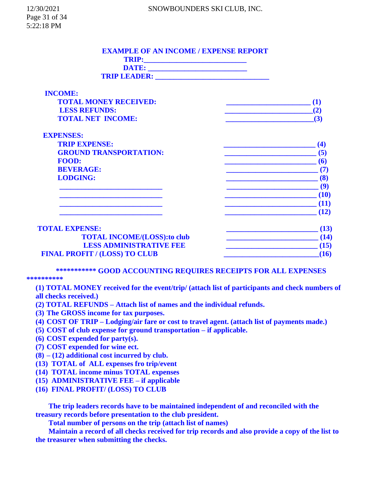| <b>EXAMPLE OF AN INCOME / EXPENSE REPORT</b>                                                                   |                                                                                                                                                                                                                                             |
|----------------------------------------------------------------------------------------------------------------|---------------------------------------------------------------------------------------------------------------------------------------------------------------------------------------------------------------------------------------------|
| TRIP: 2008 2010 2010 2010 2010 2011 2021 2022 2023 2024 2022 2023 2024 2022 2023 2024 2025 2026 2027 2028 2027 |                                                                                                                                                                                                                                             |
|                                                                                                                |                                                                                                                                                                                                                                             |
|                                                                                                                |                                                                                                                                                                                                                                             |
| <b>INCOME:</b>                                                                                                 |                                                                                                                                                                                                                                             |
| <b>TOTAL MONEY RECEIVED:</b>                                                                                   | (1)<br><u> 1980 - Johann John Stone, markin film yn y steatr y brening yn y steatr y brening yn y steatr y brening yn y</u>                                                                                                                 |
| <b>LESS REFUNDS:</b>                                                                                           | (2)<br><u> 1989 - Johann John Harry Barnett, amerikan bisa di sebagai pertama dan bisa di sebagai pertama dan bisa di s</u>                                                                                                                 |
| <b>TOTAL NET INCOME:</b>                                                                                       | (3)<br><u> 1950 - Johann Barn, mars eta bainar eta </u>                                                                                                                                                                                     |
| <b>EXPENSES:</b>                                                                                               |                                                                                                                                                                                                                                             |
| <b>TRIP EXPENSE:</b>                                                                                           | (4)                                                                                                                                                                                                                                         |
| <b>GROUND TRANSPORTATION:</b>                                                                                  | (5)<br><u> Alexandria de la pro</u>                                                                                                                                                                                                         |
| <b>FOOD:</b>                                                                                                   | $\left( 6 \right)$<br><u> 1940 - Johann John Stone, mars eta bainar eta bainar eta bainar eta bainar eta bainar eta bainar eta bainar </u>                                                                                                  |
| <b>BEVERAGE:</b>                                                                                               | (7)<br><u> Alexandro Alexandro Alexandro Alexandro Alexandro Alexandro Alexandro Alexandro Alexandro Alexandro Alexandro </u>                                                                                                               |
| <b>LODGING:</b>                                                                                                | (8)<br><u> 1965 - Johann John Stone, mars eta bainar eta hiri eta hiri eta hiri eta hiri eta hiri eta hiri eta hiri eta</u>                                                                                                                 |
|                                                                                                                | (9)<br><u> 1989 - Johann John Harry John Harry John Harry John Harry John Harry John Harry John Harry John Harry John Harry John Harry John Harry John Harry John Harry John Harry John Harry John Harry John Harry John Harry John Har</u> |
|                                                                                                                | (10)<br><u> 1980 - Johann Barnett, fransk politiker (</u>                                                                                                                                                                                   |
|                                                                                                                | (11)                                                                                                                                                                                                                                        |
|                                                                                                                | (12)                                                                                                                                                                                                                                        |
|                                                                                                                |                                                                                                                                                                                                                                             |
| <b>TOTAL EXPENSE:</b>                                                                                          | (13)                                                                                                                                                                                                                                        |
| <b>TOTAL INCOME/(LOSS):to club</b>                                                                             | (14)<br><u> 1999 - Johann Harry Barn, mars ar brening ar yn y brening yn y brening yn y brening yn y brening yn y brenin</u>                                                                                                                |
| <b>LESS ADMINISTRATIVE FEE</b>                                                                                 | (15)                                                                                                                                                                                                                                        |
| <b>FINAL PROFIT / (LOSS) TO CLUB</b>                                                                           | (16)                                                                                                                                                                                                                                        |

 **\*\*\*\*\*\*\*\*\*\*\* GOOD ACCOUNTING REQUIRES RECEIPTS FOR ALL EXPENSES \*\*\*\*\*\*\*\*\*\***

**(1) TOTAL MONEY received for the event/trip/ (attach list of participants and check numbers of all checks received.)**

- **(2) TOTAL REFUNDS – Attach list of names and the individual refunds.**
- **(3) The GROSS income for tax purposes.**
- **(4) COST OF TRIP – Lodging/air fare or cost to travel agent. (attach list of payments made.)**
- **(5) COST of club expense for ground transportation – if applicable.**
- **(6) COST expended for party(s).**
- **(7) COST expended for wine ect.**
- **(8) – (12) additional cost incurred by club.**
- **(13) TOTAL of ALL expenses fro trip/event**
- **(14) TOTAL income minus TOTAL expenses**
- **(15) ADMINISTRATIVE FEE – if applicable**
- **(16) FINAL PROFIT/ (LOSS) TO CLUB**

 **The trip leaders records have to be maintained independent of and reconciled with the treasury records before presentation to the club president.**

 **Total number of persons on the trip (attach list of names)**

 **Maintain a record of all checks received for trip records and also provide a copy of the list to the treasurer when submitting the checks.**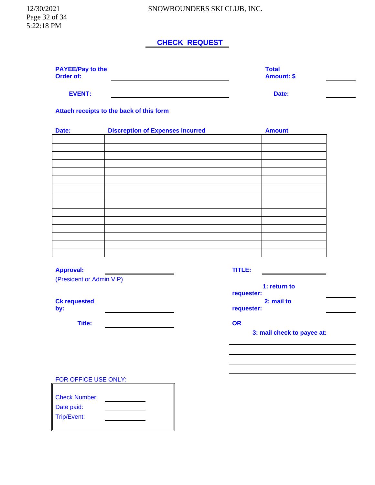# **CHECK REQUEST**

| <b>PAYEE/Pay to the</b> | <b>Total</b>      |  |  |
|-------------------------|-------------------|--|--|
| Order of:               | <b>Amount: \$</b> |  |  |
| <b>EVENT:</b>           | Date:             |  |  |

### **Attach receipts to the back of this form**

| Date: | <b>Discreption of Expenses Incurred</b> | <b>Amount</b> |
|-------|-----------------------------------------|---------------|
|       |                                         |               |
|       |                                         |               |
|       |                                         |               |
|       |                                         |               |
|       |                                         |               |
|       |                                         |               |
|       |                                         |               |
|       |                                         |               |
|       |                                         |               |
|       |                                         |               |
|       |                                         |               |
|       |                                         |               |
|       |                                         |               |
|       |                                         |               |
|       |                                         |               |

# **Approval: TITLE:**

| (President or Admin V.P) |
|--------------------------|
|--------------------------|

# **Ck requested**

**by:**

 **Title:**

 **1: return to requester: 2: mail to requester:**

**OR**

 **3: mail check to payee at:**

# FOR OFFICE USE ONLY:

| <b>Check Number:</b> |  |
|----------------------|--|
| Date paid:           |  |
| Trip/Event:          |  |
|                      |  |

<u> 1980 - Johann Barbara, martin a</u>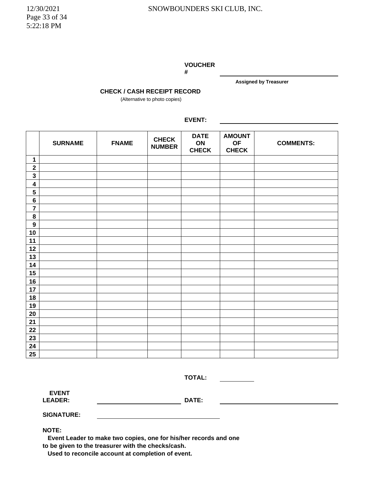### **VOUCHER**

**#**

 **Assigned by Treasurer**

**CHECK / CASH RECEIPT RECORD**

(Alternative to photo copies)

**EVENT:**

|                         | <b>SURNAME</b> | <b>FNAME</b> | <b>CHECK</b><br><b>NUMBER</b> | <b>DATE</b><br>ON<br><b>CHECK</b> | <b>AMOUNT</b><br>OF<br><b>CHECK</b> | <b>COMMENTS:</b> |
|-------------------------|----------------|--------------|-------------------------------|-----------------------------------|-------------------------------------|------------------|
| $\mathbf 1$             |                |              |                               |                                   |                                     |                  |
| $\boldsymbol{2}$        |                |              |                               |                                   |                                     |                  |
| $\mathbf{3}$            |                |              |                               |                                   |                                     |                  |
| $\overline{\mathbf{4}}$ |                |              |                               |                                   |                                     |                  |
| $\overline{\mathbf{5}}$ |                |              |                               |                                   |                                     |                  |
| $\bf 6$                 |                |              |                               |                                   |                                     |                  |
| $\overline{7}$          |                |              |                               |                                   |                                     |                  |
| 8                       |                |              |                               |                                   |                                     |                  |
| $\boldsymbol{9}$        |                |              |                               |                                   |                                     |                  |
| $10$                    |                |              |                               |                                   |                                     |                  |
| 11                      |                |              |                               |                                   |                                     |                  |
| 12                      |                |              |                               |                                   |                                     |                  |
| 13                      |                |              |                               |                                   |                                     |                  |
| 14                      |                |              |                               |                                   |                                     |                  |
| $15$                    |                |              |                               |                                   |                                     |                  |
| 16                      |                |              |                               |                                   |                                     |                  |
| 17                      |                |              |                               |                                   |                                     |                  |
| 18                      |                |              |                               |                                   |                                     |                  |
| 19                      |                |              |                               |                                   |                                     |                  |
| ${\bf 20}$              |                |              |                               |                                   |                                     |                  |
| 21                      |                |              |                               |                                   |                                     |                  |
| 22                      |                |              |                               |                                   |                                     |                  |
| 23                      |                |              |                               |                                   |                                     |                  |
| 24                      |                |              |                               |                                   |                                     |                  |
| 25                      |                |              |                               |                                   |                                     |                  |

**TOTAL:**

 **EVENT LEADER:**

**DATE:**

**SIGNATURE:**

**NOTE:**

 **Event Leader to make two copies, one for his/her records and one to be given to the treasurer with the checks/cash.**

 **Used to reconcile account at completion of event.**